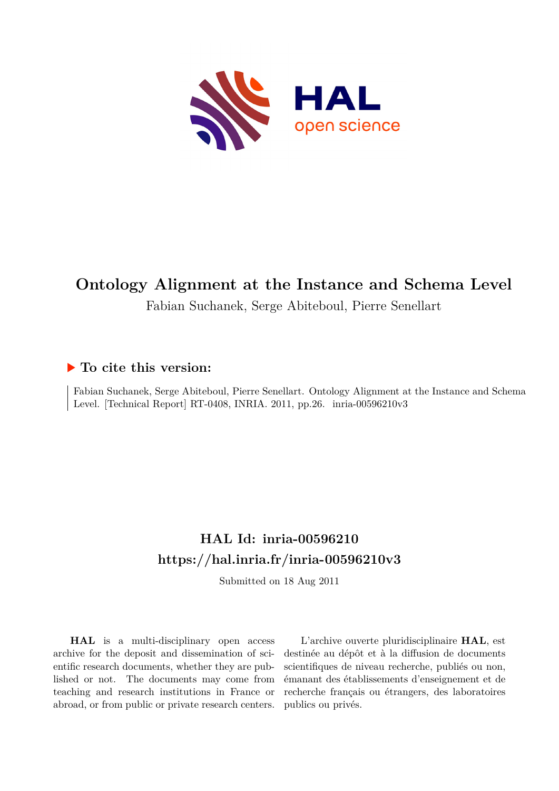

# **Ontology Alignment at the Instance and Schema Level**

Fabian Suchanek, Serge Abiteboul, Pierre Senellart

# **To cite this version:**

Fabian Suchanek, Serge Abiteboul, Pierre Senellart. Ontology Alignment at the Instance and Schema Level. [Technical Report] RT-0408, INRIA. 2011, pp.26. inria-00596210v3

# **HAL Id: inria-00596210 <https://hal.inria.fr/inria-00596210v3>**

Submitted on 18 Aug 2011

**HAL** is a multi-disciplinary open access archive for the deposit and dissemination of scientific research documents, whether they are published or not. The documents may come from teaching and research institutions in France or abroad, or from public or private research centers.

L'archive ouverte pluridisciplinaire **HAL**, est destinée au dépôt et à la diffusion de documents scientifiques de niveau recherche, publiés ou non, émanant des établissements d'enseignement et de recherche français ou étrangers, des laboratoires publics ou privés.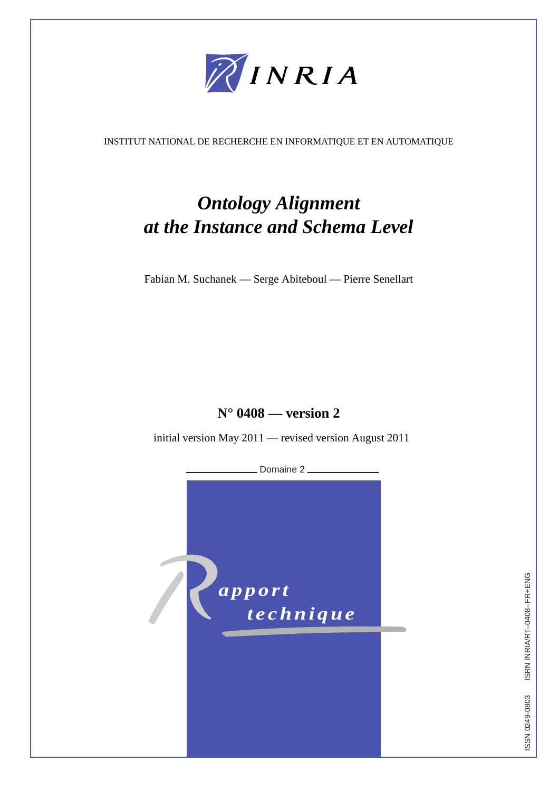

INSTITUT NATIONAL DE RECHERCHE EN INFORMATIQUE ET EN AUTOMATIQUE

# *Ontology Alignment at the Instance and Schema Level*

Fabian M. Suchanek — Serge Abiteboul — Pierre Senellart

# **N° 0408 — version 2**

initial version May 2011 — revised version August 2011

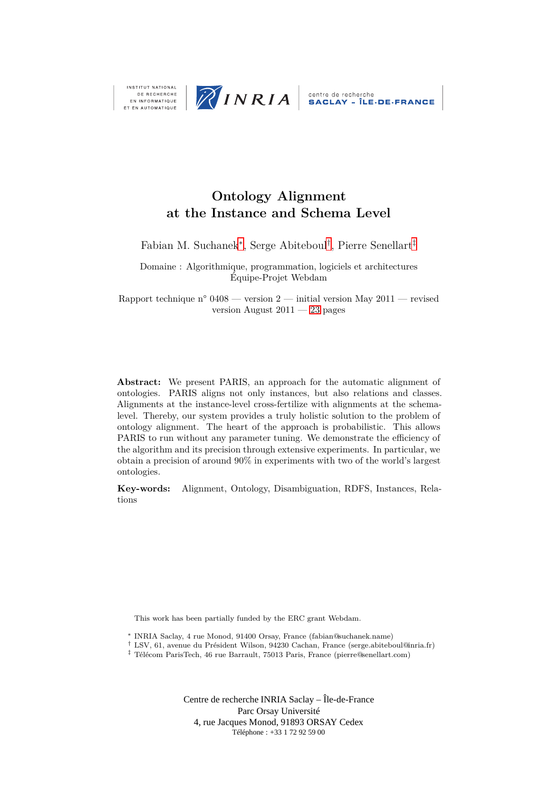

DE RECHERCHE<br>EN INFORMATIQUE ET EN AUTOMATIQUE

# **Ontology Alignment at the Instance and Schema Level**

Fabian M. Suchanek<sup>∗</sup> , Serge Abiteboul† , Pierre Senellart‡

Domaine : Algorithmique, programmation, logiciels et architectures Équipe-Projet Webdam

Rapport technique n° 0408 — version  $2$  — initial version May  $2011$  — revised version August  $2011 - 23$  $2011 - 23$  pages

**Abstract:** We present PARIS, an approach for the automatic alignment of ontologies. PARIS aligns not only instances, but also relations and classes. Alignments at the instance-level cross-fertilize with alignments at the schemalevel. Thereby, our system provides a truly holistic solution to the problem of ontology alignment. The heart of the approach is probabilistic. This allows PARIS to run without any parameter tuning. We demonstrate the efficiency of the algorithm and its precision through extensive experiments. In particular, we obtain a precision of around 90% in experiments with two of the world's largest ontologies.

**Key-words:** Alignment, Ontology, Disambiguation, RDFS, Instances, Relations

This work has been partially funded by the ERC grant Webdam.

Centre de recherche INRIA Saclay – Île-de-France Parc Orsay Université 4, rue Jacques Monod, 91893 ORSAY Cedex Téléphone : +33 1 72 92 59 00

<sup>∗</sup> INRIA Saclay, 4 rue Monod, 91400 Orsay, France (fabian@suchanek.name) x

 $\dagger$  LSV, 61, avenue du Président Wilson, 94230 Cachan, France (serge.abiteboul@inria.fr)

<sup>‡</sup> Télécom ParisTech, 46 rue Barrault, 75013 Paris, France (pierre@senellart.com) x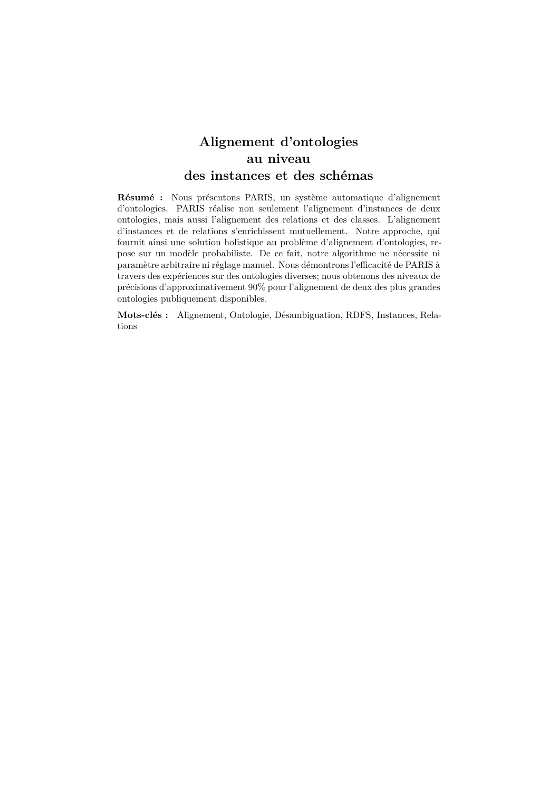# **Alignement d'ontologies au niveau des instances et des schémas**

**Résumé :** Nous présentons PARIS, un système automatique d'alignement d'ontologies. PARIS réalise non seulement l'alignement d'instances de deux ontologies, mais aussi l'alignement des relations et des classes. L'alignement d'instances et de relations s'enrichissent mutuellement. Notre approche, qui fournit ainsi une solution holistique au problème d'alignement d'ontologies, repose sur un modèle probabiliste. De ce fait, notre algorithme ne nécessite ni paramètre arbitraire ni réglage manuel. Nous démontrons l'efficacité de PARIS à travers des expériences sur des ontologies diverses; nous obtenons des niveaux de précisions d'approximativement 90% pour l'alignement de deux des plus grandes ontologies publiquement disponibles.

**Mots-clés :** Alignement, Ontologie, Désambiguation, RDFS, Instances, Relations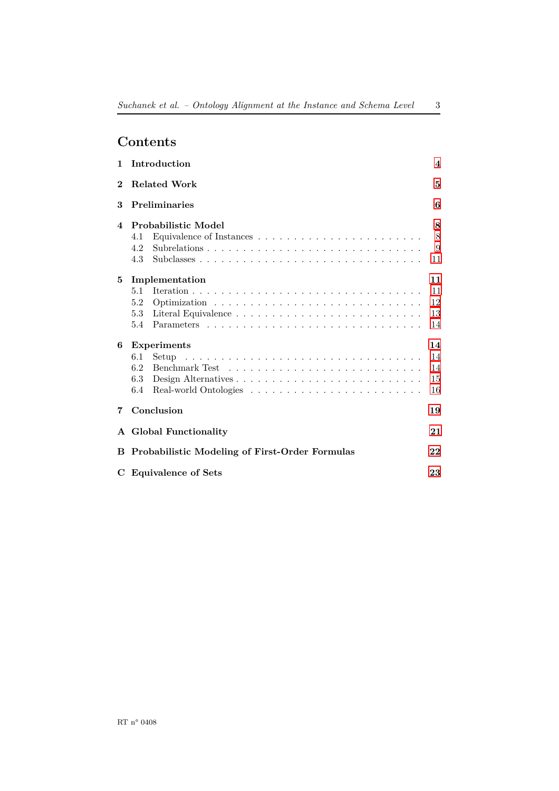# **Contents**

| 1.           | Introduction                                                                                                                        |                            |  |  |  |  |  |  |  |  |  |  |  |
|--------------|-------------------------------------------------------------------------------------------------------------------------------------|----------------------------|--|--|--|--|--|--|--|--|--|--|--|
| $\bf{2}$     | <b>Related Work</b>                                                                                                                 |                            |  |  |  |  |  |  |  |  |  |  |  |
| 3            | Preliminaries                                                                                                                       |                            |  |  |  |  |  |  |  |  |  |  |  |
| 4            | Probabilistic Model<br>Equivalence of Instances $\ldots \ldots \ldots \ldots \ldots \ldots \ldots \ldots$<br>4.1<br>4.2<br>4.3      | 8<br>8<br>9<br>11          |  |  |  |  |  |  |  |  |  |  |  |
| 5            | Implementation<br>5.1<br>5.2<br>5.3<br>5.4                                                                                          | 11<br>11<br>12<br>13<br>14 |  |  |  |  |  |  |  |  |  |  |  |
| 6            | <b>Experiments</b><br>6.1<br>Setup<br>6.2<br>6.3<br>6.4<br>Real-world Ontologies $\ldots \ldots \ldots \ldots \ldots \ldots \ldots$ | 14<br>14<br>14<br>15<br>16 |  |  |  |  |  |  |  |  |  |  |  |
| 7            | Conclusion                                                                                                                          |                            |  |  |  |  |  |  |  |  |  |  |  |
| $\mathbf{A}$ | <b>Global Functionality</b>                                                                                                         |                            |  |  |  |  |  |  |  |  |  |  |  |
| В            | <b>Probabilistic Modeling of First-Order Formulas</b>                                                                               | 22                         |  |  |  |  |  |  |  |  |  |  |  |
|              | C Equivalence of Sets                                                                                                               |                            |  |  |  |  |  |  |  |  |  |  |  |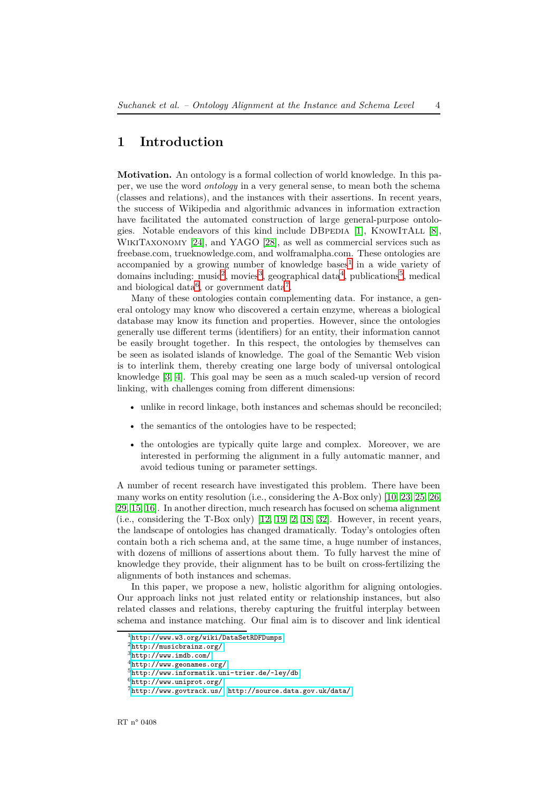## <span id="page-6-0"></span>**1 Introduction**

**Motivation.** An ontology is a formal collection of world knowledge. In this paper, we use the word *ontology* in a very general sense, to mean both the schema (classes and relations), and the instances with their assertions. In recent years, the success of Wikipedia and algorithmic advances in information extraction have facilitated the automated construction of large general-purpose ontologies. Notable endeavors of this kind include DBPEDIA  $[1]$ , KNOWITALL  $[8]$ , WikiTaxonomy [\[24\]](#page-23-1), and YAGO [\[28\]](#page-23-2), as well as commercial services such as freebase.com, trueknowledge.com, and wolframalpha.com. These ontologies are accompanied by a growing number of knowledge bases<sup>[1](#page-6-1)</sup> in a wide variety of domains including: music<sup>[2](#page-6-2)</sup>, movies<sup>[3](#page-6-3)</sup>, geographical data<sup>[4](#page-6-4)</sup>, publications<sup>[5](#page-6-5)</sup>, medical and biological data<sup>[6](#page-6-6)</sup>, or government data<sup>[7](#page-6-7)</sup>.

Many of these ontologies contain complementing data. For instance, a general ontology may know who discovered a certain enzyme, whereas a biological database may know its function and properties. However, since the ontologies generally use different terms (identifiers) for an entity, their information cannot be easily brought together. In this respect, the ontologies by themselves can be seen as isolated islands of knowledge. The goal of the Semantic Web vision is to interlink them, thereby creating one large body of universal ontological knowledge [\[3,](#page-22-2) [4\]](#page-22-3). This goal may be seen as a much scaled-up version of record linking, with challenges coming from different dimensions:

- unlike in record linkage, both instances and schemas should be reconciled;
- the semantics of the ontologies have to be respected;
- the ontologies are typically quite large and complex. Moreover, we are interested in performing the alignment in a fully automatic manner, and avoid tedious tuning or parameter settings.

A number of recent research have investigated this problem. There have been many works on entity resolution (i.e., considering the A-Box only) [\[10,](#page-22-4) [23,](#page-23-3) [25,](#page-23-4) [26,](#page-23-5) [29,](#page-23-6) [15,](#page-22-5) [16\]](#page-22-6). In another direction, much research has focused on schema alignment (i.e., considering the T-Box only) [\[12,](#page-22-7) [19,](#page-22-8) [2,](#page-22-9) [18,](#page-22-10) [32\]](#page-23-7). However, in recent years, the landscape of ontologies has changed dramatically. Today's ontologies often contain both a rich schema and, at the same time, a huge number of instances, with dozens of millions of assertions about them. To fully harvest the mine of knowledge they provide, their alignment has to be built on cross-fertilizing the alignments of both instances and schemas.

In this paper, we propose a new, holistic algorithm for aligning ontologies. Our approach links not just related entity or relationship instances, but also related classes and relations, thereby capturing the fruitful interplay between schema and instance matching. Our final aim is to discover and link identical

 $^{\rm 1}$ http://www.w $\rm 3.$ org/wiki/DataSetRDFDumps

<span id="page-6-1"></span><sup>2</sup><http://musicbrainz.org/>

<span id="page-6-2"></span> $3$ <http://www.imdb.com/>

<span id="page-6-3"></span><sup>4</sup><http://www.geonames.org/>

<span id="page-6-4"></span><sup>5</sup><http://www.informatik.uni-trier.de/~ley/db>

<span id="page-6-5"></span> $6$ <http://www.uniprot.org/>

<span id="page-6-7"></span><span id="page-6-6"></span><sup>7</sup><http://www.govtrack.us/>, <http://source.data.gov.uk/data/>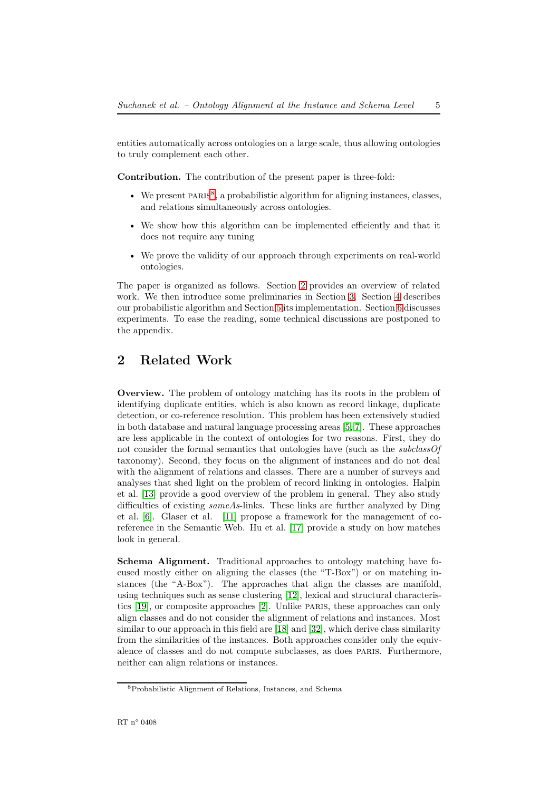entities automatically across ontologies on a large scale, thus allowing ontologies to truly complement each other.

**Contribution.** The contribution of the present paper is three-fold:

- We present  $PARIS^8$  $PARIS^8$ , a probabilistic algorithm for aligning instances, classes, and relations simultaneously across ontologies.
- We show how this algorithm can be implemented efficiently and that it does not require any tuning
- We prove the validity of our approach through experiments on real-world ontologies.

The paper is organized as follows. Section [2](#page-7-0) provides an overview of related work. We then introduce some preliminaries in Section [3.](#page-8-0) Section [4](#page-10-0) describes our probabilistic algorithm and Section [5](#page-13-1) its implementation. Section [6](#page-16-1) discusses experiments. To ease the reading, some technical discussions are postponed to the appendix.

## <span id="page-7-0"></span>**2 Related Work**

**Overview.** The problem of ontology matching has its roots in the problem of identifying duplicate entities, which is also known as record linkage, duplicate detection, or co-reference resolution. This problem has been extensively studied in both database and natural language processing areas [\[5,](#page-22-11) [7\]](#page-22-12). These approaches are less applicable in the context of ontologies for two reasons. First, they do not consider the formal semantics that ontologies have (such as the *subclassOf* taxonomy). Second, they focus on the alignment of instances and do not deal with the alignment of relations and classes. There are a number of surveys and analyses that shed light on the problem of record linking in ontologies. Halpin et al. [\[13\]](#page-22-13) provide a good overview of the problem in general. They also study difficulties of existing *sameAs*-links. These links are further analyzed by Ding et al. [\[6\]](#page-22-14). Glaser et al. [\[11\]](#page-22-15) propose a framework for the management of coreference in the Semantic Web. Hu et al. [\[17\]](#page-22-16) provide a study on how matches look in general.

**Schema Alignment.** Traditional approaches to ontology matching have focused mostly either on aligning the classes (the "T-Box") or on matching instances (the "A-Box"). The approaches that align the classes are manifold, using techniques such as sense clustering [\[12\]](#page-22-7), lexical and structural characteristics [\[19\]](#page-22-8), or composite approaches [\[2\]](#page-22-9). Unlike paris, these approaches can only align classes and do not consider the alignment of relations and instances. Most similar to our approach in this field are [\[18\]](#page-22-10) and [\[32\]](#page-23-7), which derive class similarity from the similarities of the instances. Both approaches consider only the equivalence of classes and do not compute subclasses, as does paris. Furthermore, neither can align relations or instances.

<span id="page-7-1"></span><sup>8</sup>Probabilistic Alignment of Relations, Instances, and Schema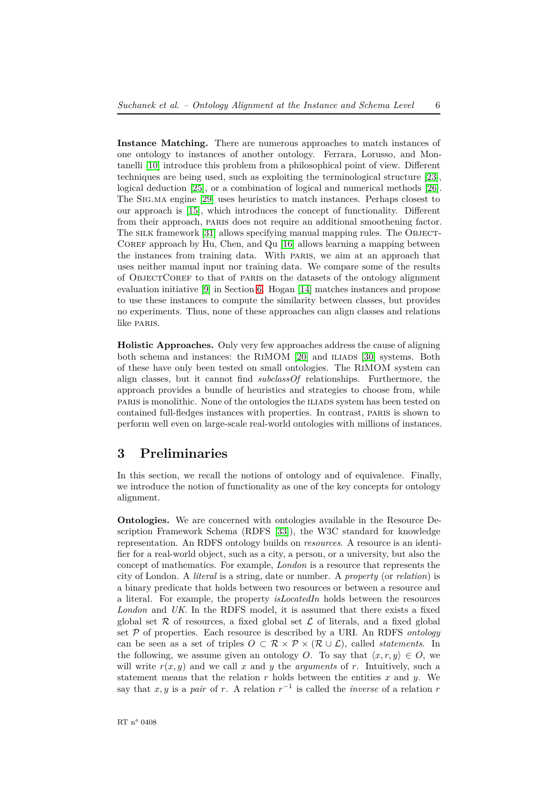**Instance Matching.** There are numerous approaches to match instances of one ontology to instances of another ontology. Ferrara, Lorusso, and Montanelli [\[10\]](#page-22-4) introduce this problem from a philosophical point of view. Different techniques are being used, such as exploiting the terminological structure [\[23\]](#page-23-3), logical deduction [\[25\]](#page-23-4), or a combination of logical and numerical methods [\[26\]](#page-23-5). The Sig.ma engine [\[29\]](#page-23-6) uses heuristics to match instances. Perhaps closest to our approach is [\[15\]](#page-22-5), which introduces the concept of functionality. Different from their approach, paris does not require an additional smoothening factor. The SILK framework [\[31\]](#page-23-8) allows specifying manual mapping rules. The OBJECT-COREF approach by Hu, Chen, and Qu  $[16]$  allows learning a mapping between the instances from training data. With paris, we aim at an approach that uses neither manual input nor training data. We compare some of the results of ObjectCoref to that of paris on the datasets of the ontology alignment evaluation initiative [\[9\]](#page-22-17) in Section [6.](#page-16-1) Hogan [\[14\]](#page-22-18) matches instances and propose to use these instances to compute the similarity between classes, but provides no experiments. Thus, none of these approaches can align classes and relations like **PARIS**.

**Holistic Approaches.** Only very few approaches address the cause of aligning both schema and instances: the RIMOM [\[20\]](#page-22-19) and ILIADS [\[30\]](#page-23-9) systems. Both of these have only been tested on small ontologies. The RiMOM system can align classes, but it cannot find *subclassOf* relationships. Furthermore, the approach provides a bundle of heuristics and strategies to choose from, while paris is monolithic. None of the ontologies the ILIADS system has been tested on contained full-fledges instances with properties. In contrast, paris is shown to perform well even on large-scale real-world ontologies with millions of instances.

## <span id="page-8-0"></span>**3 Preliminaries**

In this section, we recall the notions of ontology and of equivalence. Finally, we introduce the notion of functionality as one of the key concepts for ontology alignment.

**Ontologies.** We are concerned with ontologies available in the Resource Description Framework Schema (RDFS [\[33\]](#page-23-10)), the W3C standard for knowledge representation. An RDFS ontology builds on *resources*. A resource is an identifier for a real-world object, such as a city, a person, or a university, but also the concept of mathematics. For example, *London* is a resource that represents the city of London. A *literal* is a string, date or number. A *property* (or *relation*) is a binary predicate that holds between two resources or between a resource and a literal. For example, the property *isLocatedIn* holds between the resources *London* and *UK*. In the RDFS model, it is assumed that there exists a fixed global set  $\mathcal R$  of resources, a fixed global set  $\mathcal L$  of literals, and a fixed global set  $P$  of properties. Each resource is described by a URI. An RDFS *ontology* can be seen as a set of triples  $O \subset \mathcal{R} \times \mathcal{P} \times (\mathcal{R} \cup \mathcal{L})$ , called *statements*. In the following, we assume given an ontology *O*. To say that  $\langle x, r, y \rangle \in O$ , we will write  $r(x, y)$  and we call x and y the *arguments* of r. Intuitively, such a statement means that the relation  $r$  holds between the entities  $x$  and  $y$ . We say that *x*, *y* is a *pair* of *r*. A relation  $r^{-1}$  is called the *inverse* of a relation *r*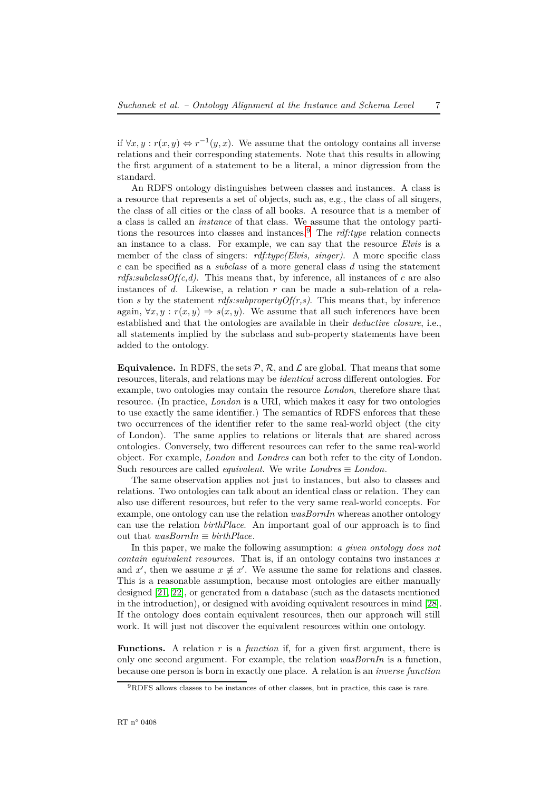if  $\forall x, y : r(x, y) \Leftrightarrow r^{-1}(y, x)$ . We assume that the ontology contains all inverse relations and their corresponding statements. Note that this results in allowing the first argument of a statement to be a literal, a minor digression from the standard.

An RDFS ontology distinguishes between classes and instances. A class is a resource that represents a set of objects, such as, e.g., the class of all singers, the class of all cities or the class of all books. A resource that is a member of a class is called an *instance* of that class. We assume that the ontology partitions the resources into classes and instances.[9](#page-9-0) The *rdf:type* relation connects an instance to a class. For example, we can say that the resource *Elvis* is a member of the class of singers: *rdf:type(Elvis, singer)*. A more specific class *c* can be specified as a *subclass* of a more general class *d* using the statement *rdfs:subclassOf(c,d)*. This means that, by inference, all instances of *c* are also instances of *d*. Likewise, a relation *r* can be made a sub-relation of a relation *s* by the statement *rdfs:subpropertyOf(r,s)*. This means that, by inference again,  $\forall x, y : r(x, y) \Rightarrow s(x, y)$ . We assume that all such inferences have been established and that the ontologies are available in their *deductive closure*, i.e., all statements implied by the subclass and sub-property statements have been added to the ontology.

**Equivalence.** In RDFS, the sets  $P$ ,  $R$ , and  $\mathcal{L}$  are global. That means that some resources, literals, and relations may be *identical* across different ontologies. For example, two ontologies may contain the resource *London*, therefore share that resource. (In practice, *London* is a URI, which makes it easy for two ontologies to use exactly the same identifier.) The semantics of RDFS enforces that these two occurrences of the identifier refer to the same real-world object (the city of London). The same applies to relations or literals that are shared across ontologies. Conversely, two different resources can refer to the same real-world object. For example, *London* and *Londres* can both refer to the city of London. Such resources are called *equivalent*. We write  $Londres \equiv London$ .

The same observation applies not just to instances, but also to classes and relations. Two ontologies can talk about an identical class or relation. They can also use different resources, but refer to the very same real-world concepts. For example, one ontology can use the relation *wasBornIn* whereas another ontology can use the relation *birthPlace*. An important goal of our approach is to find out that *wasBornIn* ≡ *birthPlace*.

In this paper, we make the following assumption: *a given ontology does not contain equivalent resources.* That is, if an ontology contains two instances *x* and x', then we assume  $x \neq x'$ . We assume the same for relations and classes. This is a reasonable assumption, because most ontologies are either manually designed [\[21,](#page-22-20) [22\]](#page-23-11), or generated from a database (such as the datasets mentioned in the introduction), or designed with avoiding equivalent resources in mind [\[28\]](#page-23-2). If the ontology does contain equivalent resources, then our approach will still work. It will just not discover the equivalent resources within one ontology.

**Functions.** A relation *r* is a *function* if, for a given first argument, there is only one second argument. For example, the relation *wasBornIn* is a function, because one person is born in exactly one place. A relation is an *inverse function*

<span id="page-9-0"></span><sup>9</sup>RDFS allows classes to be instances of other classes, but in practice, this case is rare.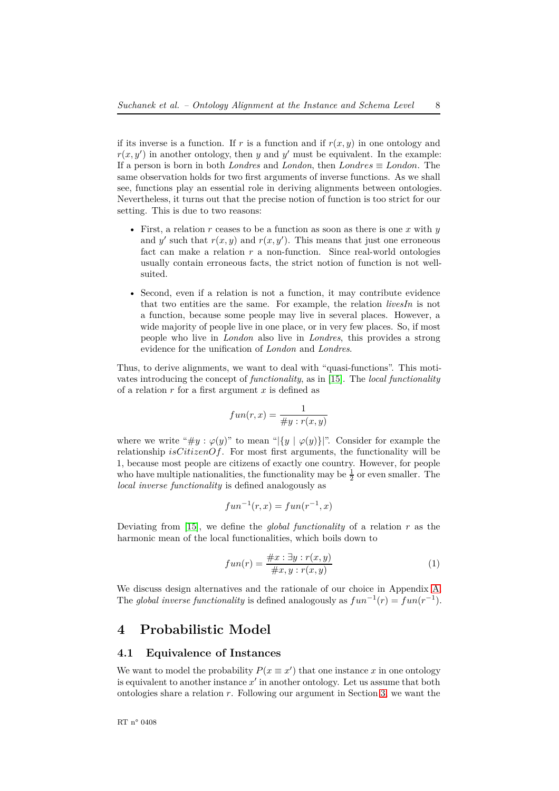if its inverse is a function. If  $r$  is a function and if  $r(x, y)$  in one ontology and  $r(x, y')$  in another ontology, then *y* and *y*' must be equivalent. In the example: If a person is born in both *Londres* and *London*, then *Londres* ≡ *London*. The same observation holds for two first arguments of inverse functions. As we shall see, functions play an essential role in deriving alignments between ontologies. Nevertheless, it turns out that the precise notion of function is too strict for our setting. This is due to two reasons:

- First, a relation *r* ceases to be a function as soon as there is one *x* with *y* and  $y'$  such that  $r(x, y)$  and  $r(x, y')$ . This means that just one erroneous fact can make a relation *r* a non-function. Since real-world ontologies usually contain erroneous facts, the strict notion of function is not wellsuited.
- Second, even if a relation is not a function, it may contribute evidence that two entities are the same. For example, the relation *livesIn* is not a function, because some people may live in several places. However, a wide majority of people live in one place, or in very few places. So, if most people who live in *London* also live in *Londres*, this provides a strong evidence for the unification of *London* and *Londres*.

Thus, to derive alignments, we want to deal with "quasi-functions". This motivates introducing the concept of *functionality*, as in [\[15\]](#page-22-5). The *local functionality* of a relation *r* for a first argument *x* is defined as

$$
fun(r,x) = \frac{1}{\#y : r(x,y)}
$$

where we write " $\#y : \varphi(y)$ " to mean " $|\{y \mid \varphi(y)\}|$ ". Consider for example the relationship *isCitizenOf*. For most first arguments, the functionality will be 1, because most people are citizens of exactly one country. However, for people who have multiple nationalities, the functionality may be  $\frac{1}{2}$  or even smaller. The *local inverse functionality* is defined analogously as

$$
fun^{-1}(r,x) = fun(r^{-1},x)
$$

Deviating from [\[15\]](#page-22-5), we define the *global functionality* of a relation *r* as the harmonic mean of the local functionalities, which boils down to

<span id="page-10-2"></span>
$$
fun(r) = \frac{\#x : \exists y : r(x, y)}{\#x, y : r(x, y)}
$$
\n
$$
(1)
$$

We discuss design alternatives and the rationale of our choice in Appendix [A.](#page-23-0) The *global inverse functionality* is defined analogously as  $fun^{-1}(r) = \int_0^r \ln(r^{-1})$ .

#### <span id="page-10-1"></span><span id="page-10-0"></span>**4 Probabilistic Model**

#### **4.1 Equivalence of Instances**

We want to model the probability  $P(x \equiv x')$  that one instance *x* in one ontology is equivalent to another instance  $x'$  in another ontology. Let us assume that both ontologies share a relation *r*. Following our argument in Section [3,](#page-8-0) we want the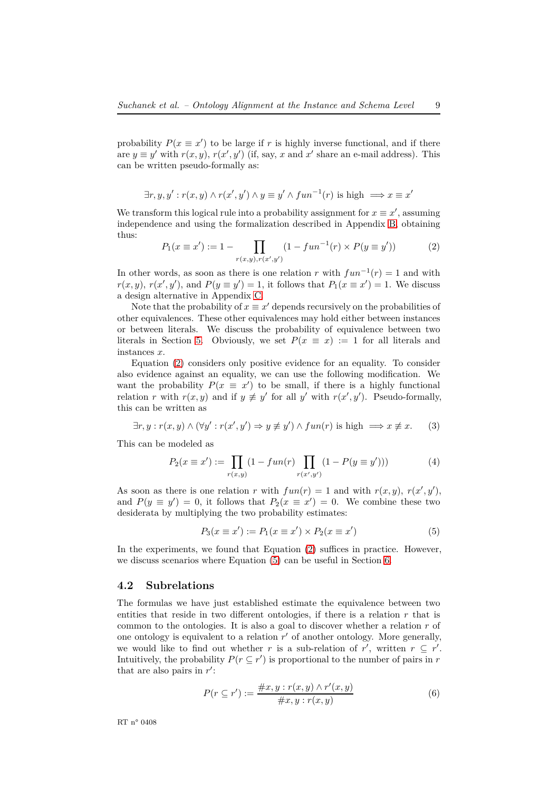probability  $P(x \equiv x')$  to be large if *r* is highly inverse functional, and if there are  $y \equiv y'$  with  $r(x, y)$ ,  $r(x', y')$  (if, say, *x* and *x*' share an e-mail address). This can be written pseudo-formally as:

$$
\exists r, y, y' : r(x, y) \land r(x', y') \land y \equiv y' \land fun^{-1}(r) \text{ is high } \Longrightarrow x \equiv x'
$$

We transform this logical rule into a probability assignment for  $x \equiv x'$ , assuming independence and using the formalization described in Appendix [B,](#page-24-0) obtaining thus:

<span id="page-11-1"></span>
$$
P_1(x \equiv x') := 1 - \prod_{r(x,y), r(x',y')} (1 - fun^{-1}(r) \times P(y \equiv y')) \tag{2}
$$

In other words, as soon as there is one relation *r* with  $fun^{-1}(r) = 1$  and with  $r(x, y)$ ,  $r(x', y')$ , and  $P(y \equiv y') = 1$ , it follows that  $P_1(x \equiv x') = 1$ . We discuss a design alternative in Appendix [C.](#page-25-0)

Note that the probability of  $x \equiv x'$  depends recursively on the probabilities of other equivalences. These other equivalences may hold either between instances or between literals. We discuss the probability of equivalence between two literals in Section [5.](#page-13-1) Obviously, we set  $P(x \equiv x) := 1$  for all literals and instances *x*.

Equation [\(2\)](#page-11-1) considers only positive evidence for an equality. To consider also evidence against an equality, we can use the following modification. We want the probability  $P(x \equiv x')$  to be small, if there is a highly functional relation *r* with  $r(x, y)$  and if  $y \neq y'$  for all  $y'$  with  $r(x', y')$ . Pseudo-formally, this can be written as

$$
\exists r, y : r(x, y) \land (\forall y' : r(x', y') \Rightarrow y \not\equiv y') \land fun(r) \text{ is high } \implies x \not\equiv x. \tag{3}
$$

This can be modeled as

<span id="page-11-4"></span><span id="page-11-3"></span>
$$
P_2(x \equiv x') := \prod_{r(x,y)} (1 - fun(r) \prod_{r(x',y')} (1 - P(y \equiv y')))
$$
(4)

As soon as there is one relation *r* with  $fun(r) = 1$  and with  $r(x, y)$ ,  $r(x', y')$ , and  $P(y \equiv y') = 0$ , it follows that  $P_2(x \equiv x') = 0$ . We combine these two desiderata by multiplying the two probability estimates:

<span id="page-11-2"></span>
$$
P_3(x \equiv x') := P_1(x \equiv x') \times P_2(x \equiv x')
$$
 (5)

In the experiments, we found that Equation [\(2\)](#page-11-1) suffices in practice. However, we discuss scenarios where Equation [\(5\)](#page-11-2) can be useful in Section [6.](#page-16-1)

#### <span id="page-11-0"></span>**4.2 Subrelations**

The formulas we have just established estimate the equivalence between two entities that reside in two different ontologies, if there is a relation *r* that is common to the ontologies. It is also a goal to discover whether a relation *r* of one ontology is equivalent to a relation *r* ′ of another ontology. More generally, we would like to find out whether *r* is a sub-relation of  $r'$ , written  $r \subseteq r'$ . Intuitively, the probability  $P(r \subseteq r')$  is proportional to the number of pairs in *r* that are also pairs in  $r'$ :

$$
P(r \subseteq r') := \frac{\#x, y : r(x, y) \land r'(x, y)}{\#x, y : r(x, y)}
$$
(6)

RT n° 0408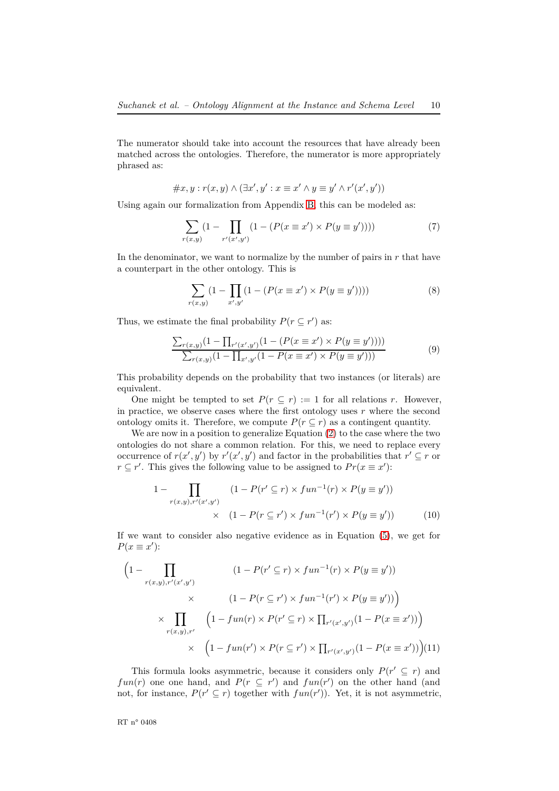The numerator should take into account the resources that have already been matched across the ontologies. Therefore, the numerator is more appropriately phrased as:

$$
\#x, y : r(x, y) \land (\exists x', y' : x \equiv x' \land y \equiv y' \land r'(x', y'))
$$

Using again our formalization from Appendix [B,](#page-24-0) this can be modeled as:

$$
\sum_{r(x,y)} (1 - \prod_{r'(x',y')} (1 - (P(x \equiv x') \times P(y \equiv y')))) \tag{7}
$$

In the denominator, we want to normalize by the number of pairs in *r* that have a counterpart in the other ontology. This is

<span id="page-12-1"></span>
$$
\sum_{r(x,y)} (1 - \prod_{x',y'} (1 - (P(x \equiv x') \times P(y \equiv y'))))
$$
\n(8)

Thus, we estimate the final probability  $P(r \subseteq r')$  as:

$$
\frac{\sum_{r(x,y)} (1 - \prod_{r'(x',y')} (1 - (P(x \equiv x') \times P(y \equiv y'))))}{\sum_{r(x,y)} (1 - \prod_{x',y'} (1 - P(x \equiv x') \times P(y \equiv y')))}
$$
(9)

This probability depends on the probability that two instances (or literals) are equivalent.

One might be tempted to set  $P(r \subseteq r) := 1$  for all relations *r*. However, in practice, we observe cases where the first ontology uses  $r$  where the second ontology omits it. Therefore, we compute  $P(r \subseteq r)$  as a contingent quantity.

We are now in a position to generalize Equation [\(2\)](#page-11-1) to the case where the two ontologies do not share a common relation. For this, we need to replace every occurrence of  $r(x', y')$  by  $r'(x', y')$  and factor in the probabilities that  $r' \subseteq r$  or  $r \subseteq r'$ . This gives the following value to be assigned to  $Pr(x \equiv x')$ :

<span id="page-12-0"></span>
$$
1 - \prod_{r(x,y),r'(x',y')} (1 - P(r' \subseteq r) \times fun^{-1}(r) \times P(y \equiv y'))
$$
  
 
$$
\times (1 - P(r \subseteq r') \times fun^{-1}(r') \times P(y \equiv y')) \tag{10}
$$

If we want to consider also negative evidence as in Equation [\(5\)](#page-11-2), we get for  $P(x \equiv x')$ :

<span id="page-12-2"></span>
$$
\left(1 - \prod_{r(x,y),r'(x',y')} \qquad (1 - P(r' \subseteq r) \times fun^{-1}(r) \times P(y \equiv y'))\right)
$$
  
\$\times\$ 
$$
\prod_{r(x,y),r'} \qquad \left(1 - P(r \subseteq r') \times fun^{-1}(r') \times P(y \equiv y'))\right)
$$
  
\$\times\$ 
$$
\prod_{r(x,y),r'} \qquad \left(1 - fun(r) \times P(r' \subseteq r) \times \prod_{r'(x',y')}(1 - P(x \equiv x'))\right)
$$
  
\$\times\$ 
$$
\left(1 - fun(r') \times P(r \subseteq r') \times \prod_{r'(x',y')}(1 - P(x \equiv x'))\right)(11)$
$$

This formula looks asymmetric, because it considers only  $P(r' \subseteq r)$  and *fun*(*r*) one one hand, and  $P(r \subseteq r')$  and  $fun(r')$  on the other hand (and not, for instance,  $P(r' \subseteq r)$  together with  $fun(r')$ ). Yet, it is not asymmetric,

RT $\,$ n° 0408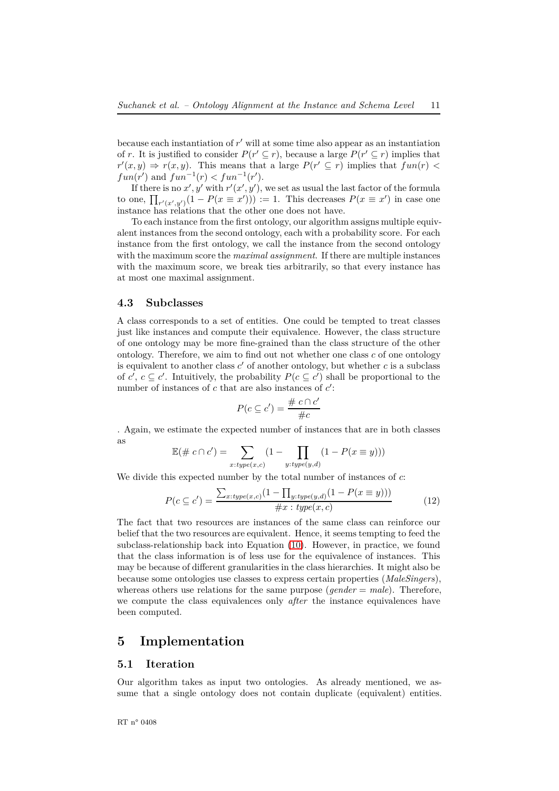because each instantiation of *r* ′ will at some time also appear as an instantiation of *r*. It is justified to consider  $P(r' \subseteq r)$ , because a large  $P(r' \subseteq r)$  implies that  $r'(x, y) \Rightarrow r(x, y)$ . This means that a large  $P(r' \subseteq r)$  implies that  $fun(r)$  $fun(r')$  and  $fun^{-1}(r) < fun^{-1}(r')$ .

If there is no  $x'$ ,  $y'$  with  $r'(x', y')$ , we set as usual the last factor of the formula to one,  $\prod_{r'(x',y')}(1-P(x\equiv x'))$  := 1. This decreases  $P(x \equiv x')$  in case one instance has relations that the other one does not have.

To each instance from the first ontology, our algorithm assigns multiple equivalent instances from the second ontology, each with a probability score. For each instance from the first ontology, we call the instance from the second ontology with the maximum score the *maximal assignment*. If there are multiple instances with the maximum score, we break ties arbitrarily, so that every instance has at most one maximal assignment.

#### <span id="page-13-0"></span>**4.3 Subclasses**

A class corresponds to a set of entities. One could be tempted to treat classes just like instances and compute their equivalence. However, the class structure of one ontology may be more fine-grained than the class structure of the other ontology. Therefore, we aim to find out not whether one class *c* of one ontology is equivalent to another class  $c'$  of another ontology, but whether  $c$  is a subclass of  $c', c \subseteq c'$ . Intuitively, the probability  $P(c \subseteq c')$  shall be proportional to the number of instances of  $c$  that are also instances of  $c'$ :

<span id="page-13-3"></span>
$$
P(c \subseteq c') = \frac{\# \ c \cap c'}{\# c}
$$

. Again, we estimate the expected number of instances that are in both classes as

$$
\mathbb{E}(\# c \cap c') = \sum_{x:\text{type}(x,c)} (1 - \prod_{y:\text{type}(y,d)} (1 - P(x \equiv y)))
$$

We divide this expected number by the total number of instances of *c*:

$$
P(c \subseteq c') = \frac{\sum_{x: type(x,c)} (1 - \prod_{y: type(y,d)} (1 - P(x \equiv y)))}{\#x: type(x,c)}
$$
(12)

The fact that two resources are instances of the same class can reinforce our belief that the two resources are equivalent. Hence, it seems tempting to feed the subclass-relationship back into Equation [\(10\)](#page-12-0). However, in practice, we found that the class information is of less use for the equivalence of instances. This may be because of different granularities in the class hierarchies. It might also be because some ontologies use classes to express certain properties (*MaleSingers*), whereas others use relations for the same purpose (*gender* = *male*). Therefore, we compute the class equivalences only *after* the instance equivalences have been computed.

# <span id="page-13-1"></span>**5 Implementation**

#### <span id="page-13-2"></span>**5.1 Iteration**

Our algorithm takes as input two ontologies. As already mentioned, we assume that a single ontology does not contain duplicate (equivalent) entities.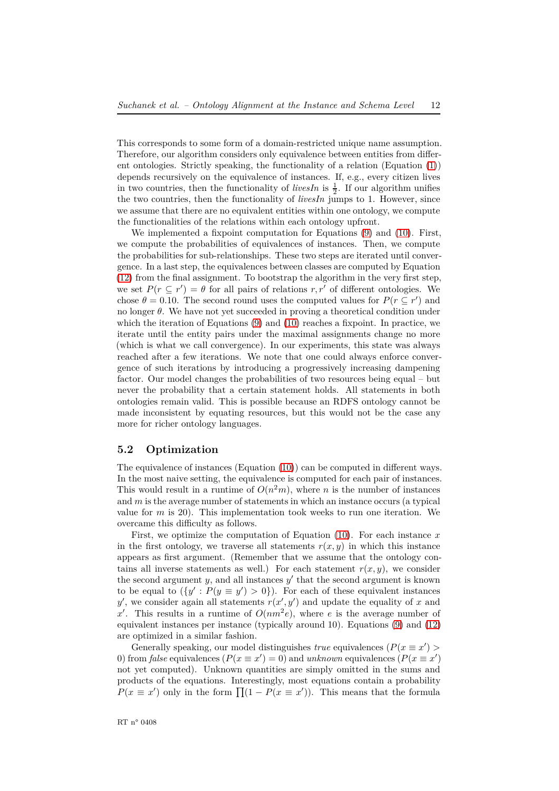This corresponds to some form of a domain-restricted unique name assumption. Therefore, our algorithm considers only equivalence between entities from different ontologies. Strictly speaking, the functionality of a relation (Equation [\(1\)](#page-10-2)) depends recursively on the equivalence of instances. If, e.g., every citizen lives in two countries, then the functionality of *livesIn* is  $\frac{1}{2}$ . If our algorithm unifies the two countries, then the functionality of *livesIn* jumps to 1. However, since we assume that there are no equivalent entities within one ontology, we compute the functionalities of the relations within each ontology upfront.

We implemented a fixpoint computation for Equations [\(9\)](#page-12-1) and [\(10\)](#page-12-0). First, we compute the probabilities of equivalences of instances. Then, we compute the probabilities for sub-relationships. These two steps are iterated until convergence. In a last step, the equivalences between classes are computed by Equation [\(12\)](#page-13-3) from the final assignment. To bootstrap the algorithm in the very first step, we set  $P(r \subseteq r') = \theta$  for all pairs of relations  $r, r'$  of different ontologies. We chose  $\theta = 0.10$ . The second round uses the computed values for  $P(r \subseteq r')$  and no longer *θ*. We have not yet succeeded in proving a theoretical condition under which the iteration of Equations [\(9\)](#page-12-1) and [\(10\)](#page-12-0) reaches a fixpoint. In practice, we iterate until the entity pairs under the maximal assignments change no more (which is what we call convergence). In our experiments, this state was always reached after a few iterations. We note that one could always enforce convergence of such iterations by introducing a progressively increasing dampening factor. Our model changes the probabilities of two resources being equal – but never the probability that a certain statement holds. All statements in both ontologies remain valid. This is possible because an RDFS ontology cannot be made inconsistent by equating resources, but this would not be the case any more for richer ontology languages.

#### <span id="page-14-0"></span>**5.2 Optimization**

The equivalence of instances (Equation [\(10\)](#page-12-0)) can be computed in different ways. In the most naive setting, the equivalence is computed for each pair of instances. This would result in a runtime of  $O(n^2m)$ , where *n* is the number of instances and *m* is the average number of statements in which an instance occurs (a typical value for *m* is 20). This implementation took weeks to run one iteration. We overcame this difficulty as follows.

First, we optimize the computation of Equation [\(10\)](#page-12-0). For each instance *x* in the first ontology, we traverse all statements  $r(x, y)$  in which this instance appears as first argument. (Remember that we assume that the ontology contains all inverse statements as well.) For each statement  $r(x, y)$ , we consider the second argument  $y$ , and all instances  $y'$  that the second argument is known to be equal to  $({y': P(y \equiv y') > 0})$ . For each of these equivalent instances y', we consider again all statements  $r(x', y')$  and update the equality of *x* and x<sup>'</sup>. This results in a runtime of  $O(nm^2e)$ , where *e* is the average number of equivalent instances per instance (typically around 10). Equations [\(9\)](#page-12-1) and  $(12)$ are optimized in a similar fashion.

Generally speaking, our model distinguishes *true* equivalences  $(P(x \equiv x') >$ 0) from *false* equivalences  $(P(x \equiv x') = 0)$  and *unknown* equivalences  $(P(x \equiv x')$ not yet computed). Unknown quantities are simply omitted in the sums and products of the equations. Interestingly, most equations contain a probability  $P(x \equiv x')$  only in the form  $\prod (1 - P(x \equiv x'))$ . This means that the formula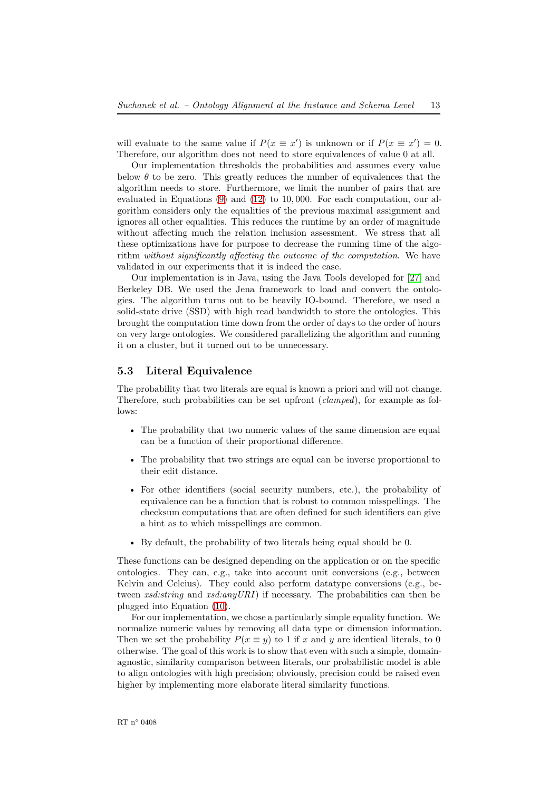will evaluate to the same value if  $P(x \equiv x')$  is unknown or if  $P(x \equiv x') = 0$ . Therefore, our algorithm does not need to store equivalences of value 0 at all.

Our implementation thresholds the probabilities and assumes every value below  $\theta$  to be zero. This greatly reduces the number of equivalences that the algorithm needs to store. Furthermore, we limit the number of pairs that are evaluated in Equations [\(9\)](#page-12-1) and [\(12\)](#page-13-3) to 10*,* 000. For each computation, our algorithm considers only the equalities of the previous maximal assignment and ignores all other equalities. This reduces the runtime by an order of magnitude without affecting much the relation inclusion assessment. We stress that all these optimizations have for purpose to decrease the running time of the algorithm *without significantly affecting the outcome of the computation*. We have validated in our experiments that it is indeed the case.

Our implementation is in Java, using the Java Tools developed for [\[27\]](#page-23-12) and Berkeley DB. We used the Jena framework to load and convert the ontologies. The algorithm turns out to be heavily IO-bound. Therefore, we used a solid-state drive (SSD) with high read bandwidth to store the ontologies. This brought the computation time down from the order of days to the order of hours on very large ontologies. We considered parallelizing the algorithm and running it on a cluster, but it turned out to be unnecessary.

#### <span id="page-15-0"></span>**5.3 Literal Equivalence**

The probability that two literals are equal is known a priori and will not change. Therefore, such probabilities can be set upfront (*clamped*), for example as fol $lows:$ 

- The probability that two numeric values of the same dimension are equal can be a function of their proportional difference.
- The probability that two strings are equal can be inverse proportional to their edit distance.
- For other identifiers (social security numbers, etc.), the probability of equivalence can be a function that is robust to common misspellings. The checksum computations that are often defined for such identifiers can give a hint as to which misspellings are common.
- By default, the probability of two literals being equal should be 0.

These functions can be designed depending on the application or on the specific ontologies. They can, e.g., take into account unit conversions (e.g., between Kelvin and Celcius). They could also perform datatype conversions (e.g., between *xsd:string* and *xsd:anyURI*) if necessary. The probabilities can then be plugged into Equation [\(10\)](#page-12-0).

For our implementation, we chose a particularly simple equality function. We normalize numeric values by removing all data type or dimension information. Then we set the probability  $P(x \equiv y)$  to 1 if *x* and *y* are identical literals, to 0 otherwise. The goal of this work is to show that even with such a simple, domainagnostic, similarity comparison between literals, our probabilistic model is able to align ontologies with high precision; obviously, precision could be raised even higher by implementing more elaborate literal similarity functions.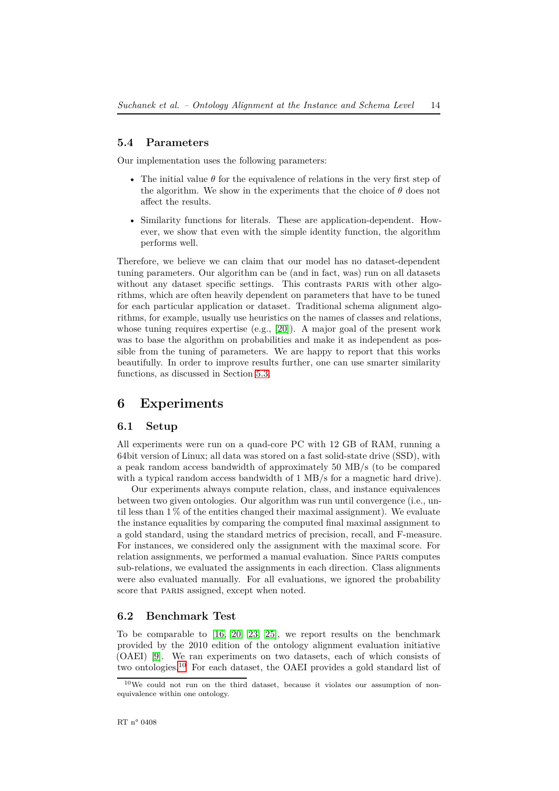#### <span id="page-16-0"></span>**5.4 Parameters**

Our implementation uses the following parameters:

- The initial value *θ* for the equivalence of relations in the very first step of the algorithm. We show in the experiments that the choice of  $\theta$  does not affect the results.
- Similarity functions for literals. These are application-dependent. However, we show that even with the simple identity function, the algorithm performs well.

Therefore, we believe we can claim that our model has no dataset-dependent tuning parameters. Our algorithm can be (and in fact, was) run on all datasets without any dataset specific settings. This contrasts PARIS with other algorithms, which are often heavily dependent on parameters that have to be tuned for each particular application or dataset. Traditional schema alignment algorithms, for example, usually use heuristics on the names of classes and relations, whose tuning requires expertise (e.g., [\[20\]](#page-22-19)). A major goal of the present work was to base the algorithm on probabilities and make it as independent as possible from the tuning of parameters. We are happy to report that this works beautifully. In order to improve results further, one can use smarter similarity functions, as discussed in Section [5.3.](#page-15-0)

#### <span id="page-16-1"></span>**6 Experiments**

#### <span id="page-16-2"></span>**6.1 Setup**

All experiments were run on a quad-core PC with 12 GB of RAM, running a 64bit version of Linux; all data was stored on a fast solid-state drive (SSD), with a peak random access bandwidth of approximately 50 MB/s (to be compared with a typical random access bandwidth of 1 MB/s for a magnetic hard drive).

Our experiments always compute relation, class, and instance equivalences between two given ontologies. Our algorithm was run until convergence (i.e., until less than  $1\%$  of the entities changed their maximal assignment). We evaluate the instance equalities by comparing the computed final maximal assignment to a gold standard, using the standard metrics of precision, recall, and F-measure. For instances, we considered only the assignment with the maximal score. For relation assignments, we performed a manual evaluation. Since PARIS computes sub-relations, we evaluated the assignments in each direction. Class alignments were also evaluated manually. For all evaluations, we ignored the probability score that PARIS assigned, except when noted.

#### <span id="page-16-3"></span>**6.2 Benchmark Test**

To be comparable to [\[16,](#page-22-6) [20,](#page-22-19) [23,](#page-23-3) [25\]](#page-23-4), we report results on the benchmark provided by the 2010 edition of the ontology alignment evaluation initiative (OAEI) [\[9\]](#page-22-17). We ran experiments on two datasets, each of which consists of two ontologies.[10](#page-16-4) For each dataset, the OAEI provides a gold standard list of

<span id="page-16-4"></span><sup>10</sup>We could not run on the third dataset, because it violates our assumption of nonequivalence within one ontology.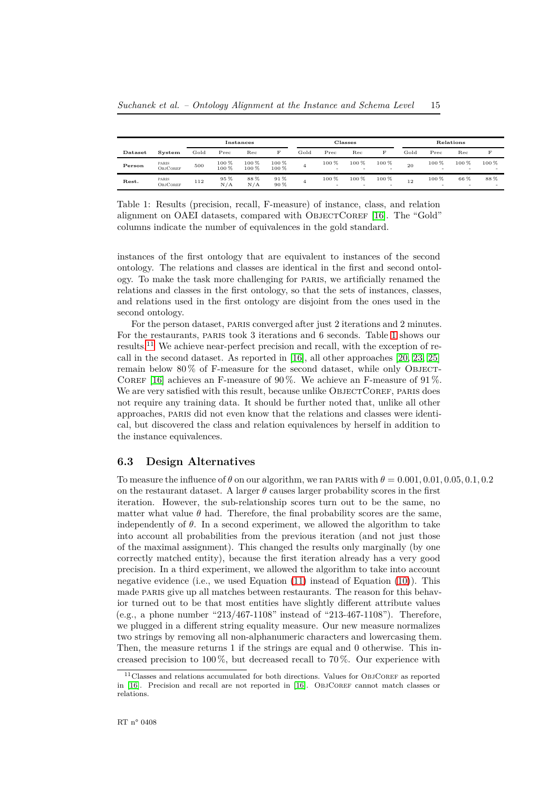|         |                          |      |               | Instances          |                    |                |            | Classes |         | Relations |                   |      |              |  |
|---------|--------------------------|------|---------------|--------------------|--------------------|----------------|------------|---------|---------|-----------|-------------------|------|--------------|--|
| Dataset | System                   | Gold | Prec          | Rec                | F                  | Gold           | Prec       | Rec     | F       | Gold      | Prec              | Rec  | F            |  |
| Person  | <b>PARIS</b><br>OBJCOREF | 500  | 100%<br>100 % | $100\%$<br>$100\%$ | 100 %<br>$100\,\%$ | 4              | 100 %<br>۰ | 100 %   | $100\%$ | 20        | $100\%$<br>$\sim$ | 100% | $100\%$<br>۰ |  |
| Rest.   | <b>PARIS</b><br>OBJCOREF | 112  | 95%<br>N/A    | 88%<br>N/A         | 91%<br>90%         | $\overline{4}$ | 100 %<br>۰ | $100\%$ | $100\%$ | 12        | 100 %<br>٠        | 66 % | 88 %<br>۰    |  |

<span id="page-17-1"></span>Table 1: Results (precision, recall, F-measure) of instance, class, and relation alignment on OAEI datasets, compared with OBJECTCOREF [\[16\]](#page-22-6). The "Gold" columns indicate the number of equivalences in the gold standard.

instances of the first ontology that are equivalent to instances of the second ontology. The relations and classes are identical in the first and second ontology. To make the task more challenging for paris, we artificially renamed the relations and classes in the first ontology, so that the sets of instances, classes, and relations used in the first ontology are disjoint from the ones used in the second ontology.

For the person dataset, PARIS converged after just 2 iterations and 2 minutes. For the restaurants, paris took 3 iterations and 6 seconds. Table [1](#page-17-1) shows our results.[11](#page-17-2) We achieve near-perfect precision and recall, with the exception of recall in the second dataset. As reported in [\[16\]](#page-22-6), all other approaches [\[20,](#page-22-19) [23,](#page-23-3) [25\]](#page-23-4) remain below  $80\%$  of F-measure for the second dataset, while only OBJECT-COREF [\[16\]](#page-22-6) achieves an F-measure of 90%. We achieve an F-measure of 91%. We are very satisfied with this result, because unlike OBJECT COREF, PARIS does not require any training data. It should be further noted that, unlike all other approaches, paris did not even know that the relations and classes were identical, but discovered the class and relation equivalences by herself in addition to the instance equivalences.

#### <span id="page-17-0"></span>**6.3 Design Alternatives**

To measure the influence of  $\theta$  on our algorithm, we ran parts with  $\theta = 0.001, 0.01, 0.05, 0.1, 0.2$ on the restaurant dataset. A larger  $\theta$  causes larger probability scores in the first iteration. However, the sub-relationship scores turn out to be the same, no matter what value  $\theta$  had. Therefore, the final probability scores are the same, independently of  $\theta$ . In a second experiment, we allowed the algorithm to take into account all probabilities from the previous iteration (and not just those of the maximal assignment). This changed the results only marginally (by one correctly matched entity), because the first iteration already has a very good precision. In a third experiment, we allowed the algorithm to take into account negative evidence (i.e., we used Equation [\(11\)](#page-12-2) instead of Equation [\(10\)](#page-12-0)). This made paris give up all matches between restaurants. The reason for this behavior turned out to be that most entities have slightly different attribute values (e.g., a phone number "213/467-1108" instead of "213-467-1108"). Therefore, we plugged in a different string equality measure. Our new measure normalizes two strings by removing all non-alphanumeric characters and lowercasing them. Then, the measure returns 1 if the strings are equal and 0 otherwise. This increased precision to  $100\%$ , but decreased recall to  $70\%$ . Our experience with

<span id="page-17-2"></span> $11$ Classes and relations accumulated for both directions. Values for OBJCOREF as reported in [\[16\]](#page-22-6). Precision and recall are not reported in [\[16\]](#page-22-6). ObjCoref cannot match classes or relations.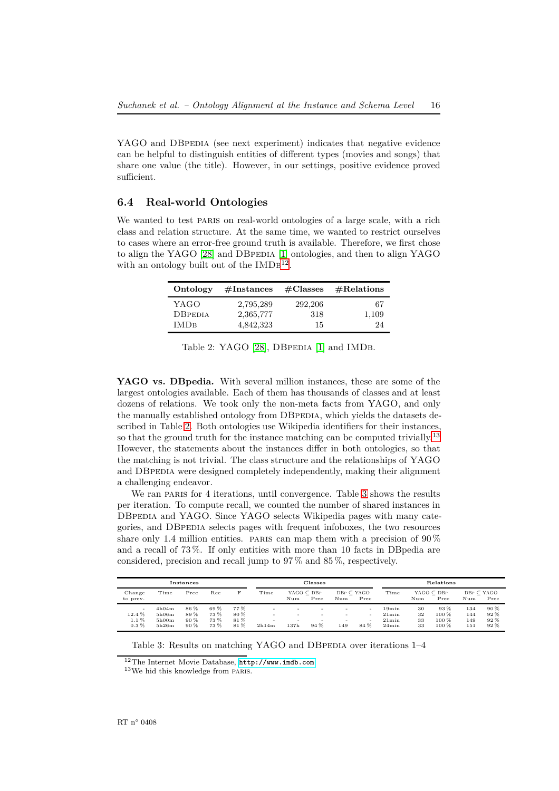YAGO and DBPEDIA (see next experiment) indicates that negative evidence can be helpful to distinguish entities of different types (movies and songs) that share one value (the title). However, in our settings, positive evidence proved sufficient.

#### <span id="page-18-0"></span>**6.4 Real-world Ontologies**

We wanted to test PARIS on real-world ontologies of a large scale, with a rich class and relation structure. At the same time, we wanted to restrict ourselves to cases where an error-free ground truth is available. Therefore, we first chose to align the YAGO [\[28\]](#page-23-2) and DBPEDIA [\[1\]](#page-22-0) ontologies, and then to align YAGO with an ontology built out of the  $IMDB^{12}$  $IMDB^{12}$  $IMDB^{12}$ .

| Ontology       | $\#\text{Instantes}$ | $\rm \#Classes$ | $\#\text{Relationships}$ |
|----------------|----------------------|-----------------|--------------------------|
| YAGO           | 2,795,289            | 292,206         | 67                       |
| <b>DBPEDIA</b> | 2,365,777            | 318             | 1,109                    |
| IMDB           | 4,842,323            | 15              | 24                       |

<span id="page-18-2"></span>Table 2: YAGO [\[28\]](#page-23-2), DBPEDIA [\[1\]](#page-22-0) and IMDB.

**YAGO vs. DBpedia.** With several million instances, these are some of the largest ontologies available. Each of them has thousands of classes and at least dozens of relations. We took only the non-meta facts from YAGO, and only the manually established ontology from DBPEDIA, which yields the datasets described in Table [2.](#page-18-2) Both ontologies use Wikipedia identifiers for their instances, so that the ground truth for the instance matching can be computed trivially.<sup>[13](#page-18-3)</sup> However, the statements about the instances differ in both ontologies, so that the matching is not trivial. The class structure and the relationships of YAGO and DBPEDIA were designed completely independently, making their alignment a challenging endeavor.

We ran PARIS for 4 iterations, until convergence. Table [3](#page-18-4) shows the results per iteration. To compute recall, we counted the number of shared instances in DBPEDIA and YAGO. Since YAGO selects Wikipedia pages with many categories, and DBPEDIA selects pages with frequent infoboxes, the two resources share only 1.4 million entities. PARIS can map them with a precision of  $90\,\%$ and a recall of 73 %. If only entities with more than 10 facts in DBpedia are considered, precision and recall jump to  $97\%$  and  $85\%$ , respectively.

|                          |                                  | Instances                  |                          |                          |       | Classes                             |      |                                   | Relations                |                                  |                                   |                                        |                                   |                                   |
|--------------------------|----------------------------------|----------------------------|--------------------------|--------------------------|-------|-------------------------------------|------|-----------------------------------|--------------------------|----------------------------------|-----------------------------------|----------------------------------------|-----------------------------------|-----------------------------------|
| Change<br>to prev.       | Time                             | Prec                       | Rec                      | F                        | Time  | $YAGO \subseteq DBP$<br>Prec<br>Num |      | $DBP \subset YAGO$<br>Num<br>Prec |                          | Time                             | YAGO $\subset$ DBP<br>Num<br>Prec |                                        | $DBP \subset YAGO$<br>Num<br>Prec |                                   |
| 12.4%<br>1.1%<br>$0.3\%$ | 4h04m<br>5h06m<br>5h00m<br>5h26m | 86%<br>89%<br>90 %<br>90 % | 69%<br>73%<br>73%<br>73% | 77%<br>80%<br>81%<br>81% | 2h14m | $\sim$<br>$\sim$<br>137k            | 94 % | $\sim$<br>$\sim$<br>$\sim$<br>149 | $\sim$<br>$\sim$<br>84 % | 19min<br>21min<br>21min<br>24min | 30<br>32<br>33<br>33              | 93%<br>$100\,\%$<br>$100\,\%$<br>100 % | 134<br>144<br>149<br>151          | $90\%$<br>$92\%$<br>$92\%$<br>92% |

<span id="page-18-4"></span>Table 3: Results on matching YAGO and DBPEDIA over iterations  $1-4$ 

<sup>12</sup>The Internet Movie Database, <http://www.imdb.com>

<span id="page-18-3"></span><span id="page-18-1"></span> $^{13}\mathrm{We}$  hid this knowledge from PARIS.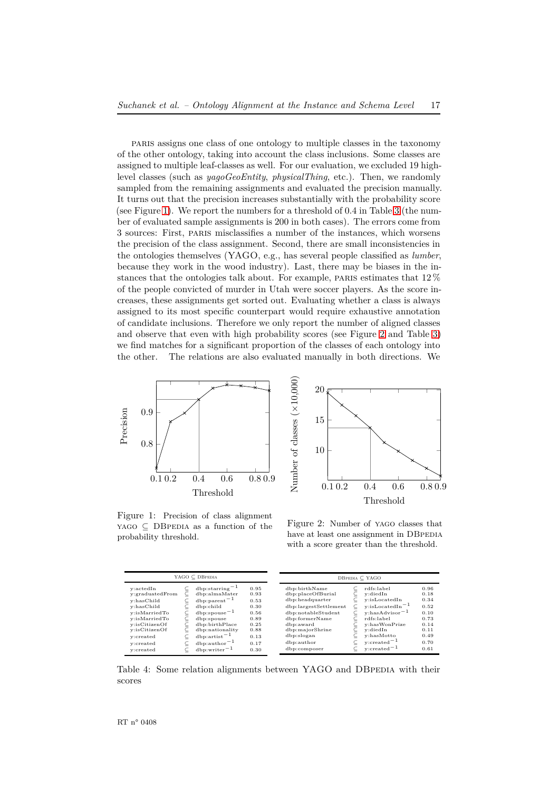paris assigns one class of one ontology to multiple classes in the taxonomy of the other ontology, taking into account the class inclusions. Some classes are assigned to multiple leaf-classes as well. For our evaluation, we excluded 19 highlevel classes (such as *yagoGeoEntity*, *physicalThing*, etc.). Then, we randomly sampled from the remaining assignments and evaluated the precision manually. It turns out that the precision increases substantially with the probability score (see Figure [1\)](#page-19-0). We report the numbers for a threshold of 0*.*4 in Table [3](#page-18-4) (the number of evaluated sample assignments is 200 in both cases). The errors come from 3 sources: First, paris misclassifies a number of the instances, which worsens the precision of the class assignment. Second, there are small inconsistencies in the ontologies themselves (YAGO, e.g., has several people classified as *lumber*, because they work in the wood industry). Last, there may be biases in the instances that the ontologies talk about. For example, paris estimates that 12 % of the people convicted of murder in Utah were soccer players. As the score increases, these assignments get sorted out. Evaluating whether a class is always assigned to its most specific counterpart would require exhaustive annotation of candidate inclusions. Therefore we only report the number of aligned classes and observe that even with high probability scores (see Figure [2](#page-19-1) and Table [3\)](#page-18-4) we find matches for a significant proportion of the classes of each ontology into the other. The relations are also evaluated manually in both directions. We



<span id="page-19-0"></span>Figure 1: Precision of class alignment  $YAGO \subseteq DBPEDIA$  as a function of the probability threshold.

<span id="page-19-1"></span>Figure 2: Number of yago classes that have at least one assignment in DBPEDIA with a score greater than the threshold.

0*.*1 0*.*9

<span id="page-19-2"></span>Table 4: Some relation alignments between YAGO and DBPEDIA with their scores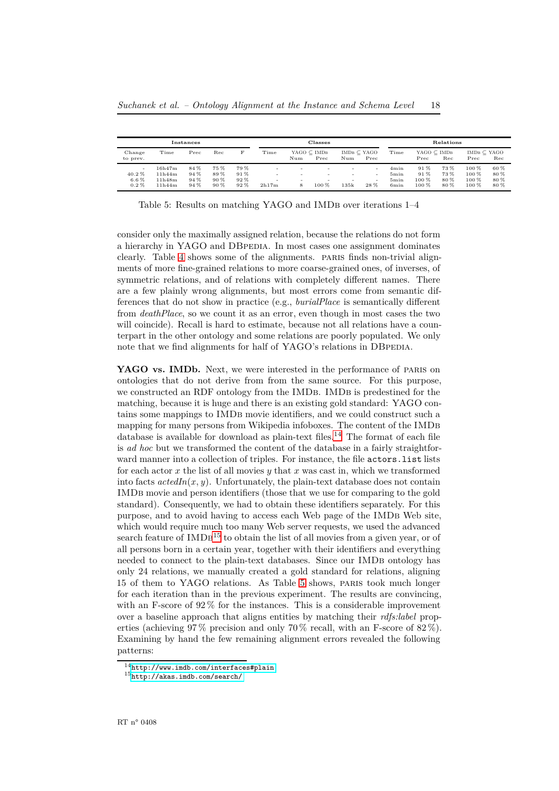|                                      |                                      | Classes                      | Relations                        |                           |                                           |        |                               |      |                               |                              |                                  |                          |                                  |                          |
|--------------------------------------|--------------------------------------|------------------------------|----------------------------------|---------------------------|-------------------------------------------|--------|-------------------------------|------|-------------------------------|------------------------------|----------------------------------|--------------------------|----------------------------------|--------------------------|
| Change<br>to prev.                   | Time                                 | Prec                         | Rec                              | F                         | Time                                      | Num    | $YAGO \subseteq IMDB$<br>Prec | Num  | $IMDB \subseteq YAGO$<br>Prec | Time                         | $YAGO \subseteq IMDB$<br>Prec    | Rec                      | $IMDB \subseteq YAGO$<br>Prec    | Rec                      |
| ۰.<br>$40.2\%$<br>$6.6\%$<br>$0.2\%$ | 16h47m<br>11h44m<br>11h48m<br>11h44m | 84 %<br>94 %<br>94 %<br>94 % | 75 %<br>89 %<br>$90\%$<br>$90\%$ | 79 %<br>91%<br>92%<br>92% | $\,$<br>$\overline{\phantom{a}}$<br>2h17m | ۰<br>8 | $100\,\%$                     | 135k | 28%                           | 4min<br>5min<br>5min<br>6min | 91%<br>91%<br>$100\%$<br>$100\%$ | 73%<br>73%<br>80%<br>80% | 100 %<br>100 %<br>100 %<br>100 % | 60%<br>80%<br>80%<br>80% |

<span id="page-20-2"></span>Table 5: Results on matching YAGO and IMDB over iterations  $1-4$ 

consider only the maximally assigned relation, because the relations do not form a hierarchy in YAGO and DBPEDIA. In most cases one assignment dominates clearly. Table [4](#page-19-2) shows some of the alignments. paris finds non-trivial alignments of more fine-grained relations to more coarse-grained ones, of inverses, of symmetric relations, and of relations with completely different names. There are a few plainly wrong alignments, but most errors come from semantic differences that do not show in practice (e.g., *burialPlace* is semantically different from *deathPlace*, so we count it as an error, even though in most cases the two will coincide). Recall is hard to estimate, because not all relations have a counterpart in the other ontology and some relations are poorly populated. We only note that we find alignments for half of YAGO's relations in DBPEDIA.

YAGO vs. IMDb. Next, we were interested in the performance of PARIS on ontologies that do not derive from from the same source. For this purpose, we constructed an RDF ontology from the IMDB. IMDB is predestined for the matching, because it is huge and there is an existing gold standard: YAGO contains some mappings to IMDB movie identifiers, and we could construct such a mapping for many persons from Wikipedia infoboxes. The content of the IMDB database is available for download as plain-text files.<sup>[14](#page-20-0)</sup> The format of each file is *ad hoc* but we transformed the content of the database in a fairly straightforward manner into a collection of triples. For instance, the file actors. list lists for each actor *x* the list of all movies *y* that *x* was cast in, which we transformed into facts  $\operatorname{actedIn}(x, y)$ . Unfortunately, the plain-text database does not contain IMDB movie and person identifiers (those that we use for comparing to the gold standard). Consequently, we had to obtain these identifiers separately. For this purpose, and to avoid having to access each Web page of the IMDB Web site, which would require much too many Web server requests, we used the advanced search feature of  $IMDB^{15}$  $IMDB^{15}$  $IMDB^{15}$  to obtain the list of all movies from a given year, or of all persons born in a certain year, together with their identifiers and everything needed to connect to the plain-text databases. Since our IMDB ontology has only 24 relations, we manually created a gold standard for relations, aligning 15 of them to YAGO relations. As Table [5](#page-20-2) shows, paris took much longer for each iteration than in the previous experiment. The results are convincing, with an F-score of  $92\%$  for the instances. This is a considerable improvement over a baseline approach that aligns entities by matching their *rdfs:label* properties (achieving  $97\%$  precision and only  $70\%$  recall, with an F-score of  $82\%$ ). Examining by hand the few remaining alignment errors revealed the following patterns:

<sup>14</sup><http://www.imdb.com/interfaces#plain>

<span id="page-20-1"></span><span id="page-20-0"></span><sup>15</sup><http://akas.imdb.com/search/>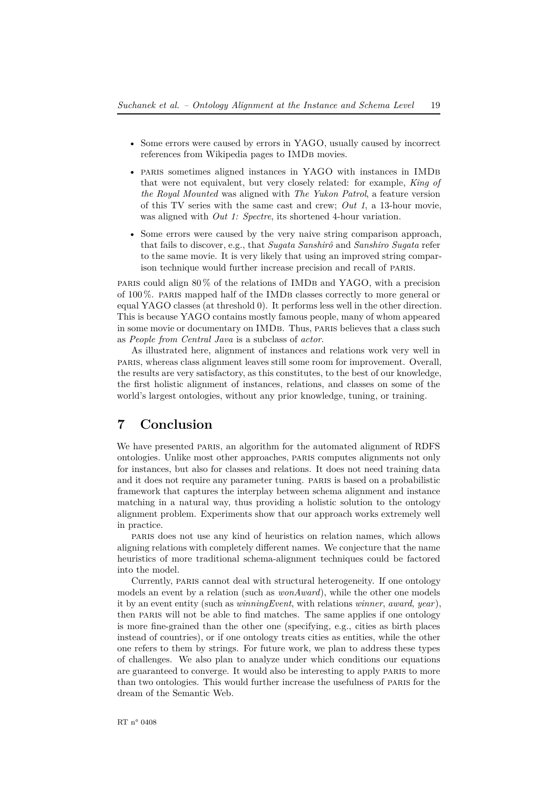- Some errors were caused by errors in YAGO, usually caused by incorrect references from Wikipedia pages to IMDB movies.
- PARIS sometimes aligned instances in YAGO with instances in IMDB that were not equivalent, but very closely related: for example, *King of the Royal Mounted* was aligned with *The Yukon Patrol*, a feature version of this TV series with the same cast and crew; *Out 1*, a 13-hour movie, was aligned with *Out 1: Spectre*, its shortened 4-hour variation.
- Some errors were caused by the very naive string comparison approach, that fails to discover, e.g., that *Sugata Sanshirô* and *Sanshiro Sugata* refer to the same movie. It is very likely that using an improved string comparison technique would further increase precision and recall of paris.

PARIS could align  $80\%$  of the relations of IMDB and YAGO, with a precision of  $100\%$ . PARIS mapped half of the IMDB classes correctly to more general or equal YAGO classes (at threshold 0). It performs less well in the other direction. This is because YAGO contains mostly famous people, many of whom appeared in some movie or documentary on IMDB. Thus, PARIS believes that a class such as *People from Central Java* is a subclass of *actor*.

As illustrated here, alignment of instances and relations work very well in paris, whereas class alignment leaves still some room for improvement. Overall, the results are very satisfactory, as this constitutes, to the best of our knowledge, the first holistic alignment of instances, relations, and classes on some of the world's largest ontologies, without any prior knowledge, tuning, or training.

# <span id="page-21-0"></span>**7 Conclusion**

We have presented PARIS, an algorithm for the automated alignment of RDFS ontologies. Unlike most other approaches, paris computes alignments not only for instances, but also for classes and relations. It does not need training data and it does not require any parameter tuning. paris is based on a probabilistic framework that captures the interplay between schema alignment and instance matching in a natural way, thus providing a holistic solution to the ontology alignment problem. Experiments show that our approach works extremely well in practice.

paris does not use any kind of heuristics on relation names, which allows aligning relations with completely different names. We conjecture that the name heuristics of more traditional schema-alignment techniques could be factored into the model.

Currently, PARIS cannot deal with structural heterogeneity. If one ontology models an event by a relation (such as *wonAward*), while the other one models it by an event entity (such as *winningEvent*, with relations *winner*, *award*, *year*), then paris will not be able to find matches. The same applies if one ontology is more fine-grained than the other one (specifying, e.g., cities as birth places instead of countries), or if one ontology treats cities as entities, while the other one refers to them by strings. For future work, we plan to address these types of challenges. We also plan to analyze under which conditions our equations are guaranteed to converge. It would also be interesting to apply paris to more than two ontologies. This would further increase the usefulness of paris for the dream of the Semantic Web.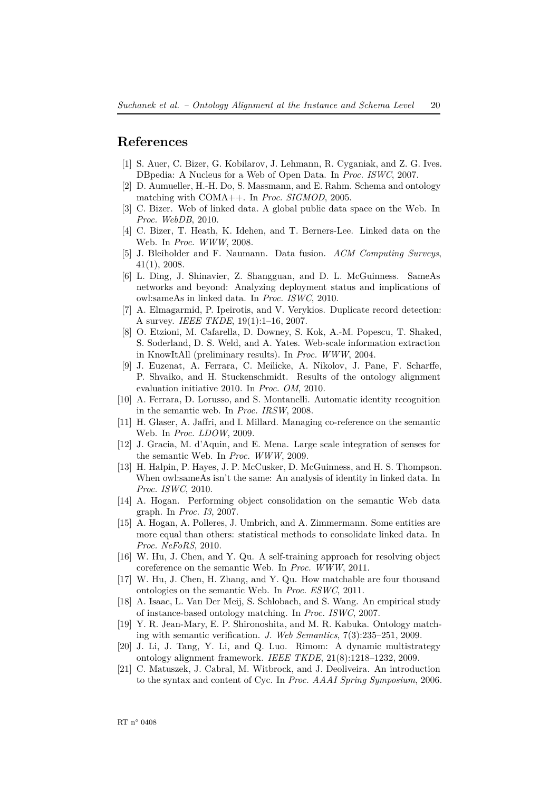#### <span id="page-22-0"></span>**References**

- <span id="page-22-9"></span>[1] S. Auer, C. Bizer, G. Kobilarov, J. Lehmann, R. Cyganiak, and Z. G. Ives. DBpedia: A Nucleus for a Web of Open Data. In *Proc. ISWC*, 2007.
- <span id="page-22-2"></span>[2] D. Aumueller, H.-H. Do, S. Massmann, and E. Rahm. Schema and ontology matching with COMA++. In *Proc. SIGMOD*, 2005.
- <span id="page-22-3"></span>[3] C. Bizer. Web of linked data. A global public data space on the Web. In *Proc. WebDB*, 2010.
- [4] C. Bizer, T. Heath, K. Idehen, and T. Berners-Lee. Linked data on the Web. In *Proc. WWW*, 2008.
- <span id="page-22-14"></span><span id="page-22-11"></span>[5] J. Bleiholder and F. Naumann. Data fusion. *ACM Computing Surveys*, 41(1), 2008.
- [6] L. Ding, J. Shinavier, Z. Shangguan, and D. L. McGuinness. SameAs networks and beyond: Analyzing deployment status and implications of owl:sameAs in linked data. In *Proc. ISWC*, 2010.
- <span id="page-22-12"></span>[7] A. Elmagarmid, P. Ipeirotis, and V. Verykios. Duplicate record detection: A survey. *IEEE TKDE*, 19(1):1–16, 2007.
- <span id="page-22-1"></span>[8] O. Etzioni, M. Cafarella, D. Downey, S. Kok, A.-M. Popescu, T. Shaked, S. Soderland, D. S. Weld, and A. Yates. Web-scale information extraction in KnowItAll (preliminary results). In *Proc. WWW*, 2004.
- <span id="page-22-17"></span>[9] J. Euzenat, A. Ferrara, C. Meilicke, A. Nikolov, J. Pane, F. Scharffe, P. Shvaiko, and H. Stuckenschmidt. Results of the ontology alignment evaluation initiative 2010. In *Proc. OM*, 2010.
- <span id="page-22-4"></span>[10] A. Ferrara, D. Lorusso, and S. Montanelli. Automatic identity recognition in the semantic web. In *Proc. IRSW*, 2008.
- <span id="page-22-15"></span>[11] H. Glaser, A. Jaffri, and I. Millard. Managing co-reference on the semantic Web. In *Proc. LDOW*, 2009.
- <span id="page-22-7"></span>[12] J. Gracia, M. d'Aquin, and E. Mena. Large scale integration of senses for the semantic Web. In *Proc. WWW*, 2009.
- <span id="page-22-13"></span>[13] H. Halpin, P. Hayes, J. P. McCusker, D. McGuinness, and H. S. Thompson. When owl:sameAs isn't the same: An analysis of identity in linked data. In *Proc. ISWC*, 2010.
- <span id="page-22-18"></span>[14] A. Hogan. Performing object consolidation on the semantic Web data graph. In *Proc. I3*, 2007.
- <span id="page-22-5"></span>[15] A. Hogan, A. Polleres, J. Umbrich, and A. Zimmermann. Some entities are more equal than others: statistical methods to consolidate linked data. In *Proc. NeFoRS*, 2010.
- <span id="page-22-6"></span>[16] W. Hu, J. Chen, and Y. Qu. A self-training approach for resolving object coreference on the semantic Web. In *Proc. WWW*, 2011.
- <span id="page-22-16"></span>[17] W. Hu, J. Chen, H. Zhang, and Y. Qu. How matchable are four thousand ontologies on the semantic Web. In *Proc. ESWC*, 2011.
- <span id="page-22-10"></span>[18] A. Isaac, L. Van Der Meij, S. Schlobach, and S. Wang. An empirical study of instance-based ontology matching. In *Proc. ISWC*, 2007.
- <span id="page-22-8"></span>[19] Y. R. Jean-Mary, E. P. Shironoshita, and M. R. Kabuka. Ontology matching with semantic verification. *J. Web Semantics*, 7(3):235–251, 2009.
- <span id="page-22-19"></span>[20] J. Li, J. Tang, Y. Li, and Q. Luo. Rimom: A dynamic multistrategy ontology alignment framework. *IEEE TKDE*, 21(8):1218–1232, 2009.
- <span id="page-22-20"></span>[21] C. Matuszek, J. Cabral, M. Witbrock, and J. Deoliveira. An introduction to the syntax and content of Cyc. In *Proc. AAAI Spring Symposium*, 2006.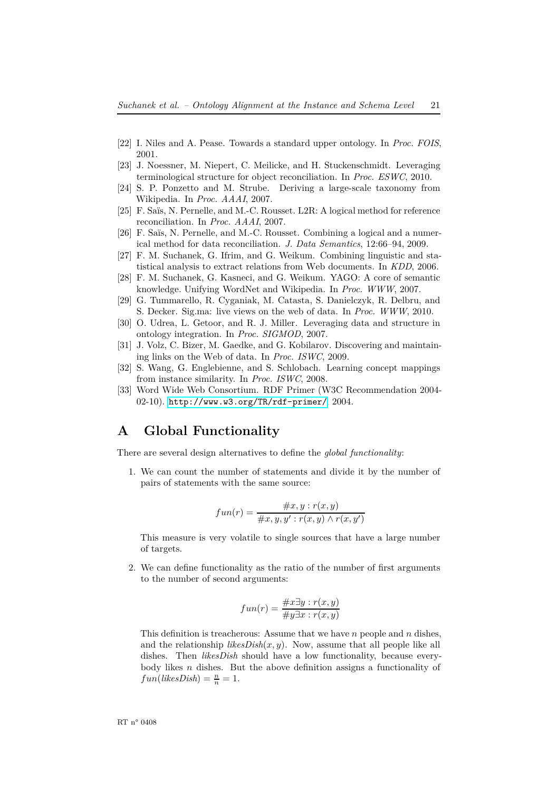- <span id="page-23-11"></span><span id="page-23-3"></span>[22] I. Niles and A. Pease. Towards a standard upper ontology. In *Proc. FOIS*, 2001.
- <span id="page-23-1"></span>[23] J. Noessner, M. Niepert, C. Meilicke, and H. Stuckenschmidt. Leveraging terminological structure for object reconciliation. In *Proc. ESWC*, 2010.
- [24] S. P. Ponzetto and M. Strube. Deriving a large-scale taxonomy from Wikipedia. In *Proc. AAAI*, 2007.
- <span id="page-23-4"></span>[25] F. Saïs, N. Pernelle, and M.-C. Rousset. L2R: A logical method for reference reconciliation. In *Proc. AAAI*, 2007.
- <span id="page-23-5"></span>[26] F. Saïs, N. Pernelle, and M.-C. Rousset. Combining a logical and a numerical method for data reconciliation. *J. Data Semantics*, 12:66–94, 2009.
- <span id="page-23-12"></span>[27] F. M. Suchanek, G. Ifrim, and G. Weikum. Combining linguistic and statistical analysis to extract relations from Web documents. In *KDD*, 2006.
- <span id="page-23-2"></span>[28] F. M. Suchanek, G. Kasneci, and G. Weikum. YAGO: A core of semantic knowledge. Unifying WordNet and Wikipedia. In *Proc. WWW*, 2007.
- <span id="page-23-6"></span>[29] G. Tummarello, R. Cyganiak, M. Catasta, S. Danielczyk, R. Delbru, and S. Decker. Sig.ma: live views on the web of data. In *Proc. WWW*, 2010.
- <span id="page-23-9"></span>[30] O. Udrea, L. Getoor, and R. J. Miller. Leveraging data and structure in ontology integration. In *Proc. SIGMOD*, 2007.
- <span id="page-23-8"></span>[31] J. Volz, C. Bizer, M. Gaedke, and G. Kobilarov. Discovering and maintaining links on the Web of data. In *Proc. ISWC*, 2009.
- <span id="page-23-7"></span>[32] S. Wang, G. Englebienne, and S. Schlobach. Learning concept mappings from instance similarity. In *Proc. ISWC*, 2008.
- <span id="page-23-10"></span>[33] Word Wide Web Consortium. RDF Primer (W3C Recommendation 2004- 02-10). <http://www.w3.org/TR/rdf-primer/>, 2004.

### <span id="page-23-0"></span>**A Global Functionality**

There are several design alternatives to define the *global functionality*:

1. We can count the number of statements and divide it by the number of pairs of statements with the same source:

$$
fun(r) = \frac{\#x, y : r(x, y)}{\#x, y, y' : r(x, y) \land r(x, y')}
$$

This measure is very volatile to single sources that have a large number of targets.

2. We can define functionality as the ratio of the number of first arguments to the number of second arguments:

$$
fun(r) = \frac{\#x\exists y : r(x, y)}{\#y\exists x : r(x, y)}
$$

This definition is treacherous: Assume that we have *n* people and *n* dishes, and the relationship *likesDish*(*x, y*). Now, assume that all people like all dishes. Then *likesDish* should have a low functionality, because everybody likes *n* dishes. But the above definition assigns a functionality of  $fun(likesDish) = \frac{n}{n} = 1.$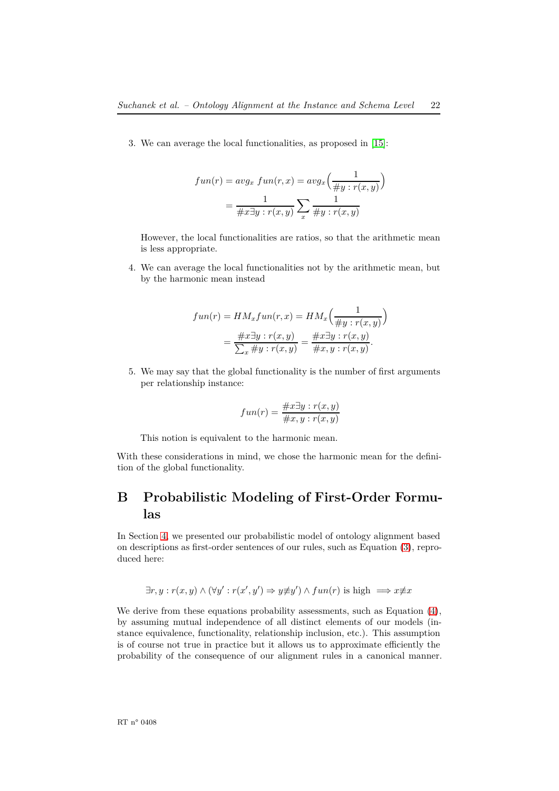3. We can average the local functionalities, as proposed in [\[15\]](#page-22-5):

$$
fun(r) = avg_x \, fun(r, x) = avg_x \left(\frac{1}{\#y : r(x, y)}\right)
$$

$$
= \frac{1}{\#x \exists y : r(x, y)} \sum_x \frac{1}{\#y : r(x, y)}
$$

However, the local functionalities are ratios, so that the arithmetic mean is less appropriate.

4. We can average the local functionalities not by the arithmetic mean, but by the harmonic mean instead

$$
fun(r) = HM_x fun(r, x) = HM_x \left(\frac{1}{\#y : r(x, y)}\right)
$$

$$
= \frac{\#x \exists y : r(x, y)}{\sum_x \#y : r(x, y)} = \frac{\#x \exists y : r(x, y)}{\#x, y : r(x, y)}.
$$

5. We may say that the global functionality is the number of first arguments per relationship instance:

$$
fun(r) = \frac{\#x\exists y : r(x, y)}{\#x, y : r(x, y)}
$$

This notion is equivalent to the harmonic mean.

With these considerations in mind, we chose the harmonic mean for the definition of the global functionality.

# <span id="page-24-0"></span>**B Probabilistic Modeling of First-Order Formulas**

In Section [4,](#page-10-0) we presented our probabilistic model of ontology alignment based on descriptions as first-order sentences of our rules, such as Equation [\(3\)](#page-11-3), reproduced here:

$$
\exists r, y : r(x, y) \land (\forall y' : r(x', y') \Rightarrow y \neq y') \land fun(r) \text{ is high } \implies x \neq x
$$

We derive from these equations probability assessments, such as Equation  $(4)$ , by assuming mutual independence of all distinct elements of our models (instance equivalence, functionality, relationship inclusion, etc.). This assumption is of course not true in practice but it allows us to approximate efficiently the probability of the consequence of our alignment rules in a canonical manner.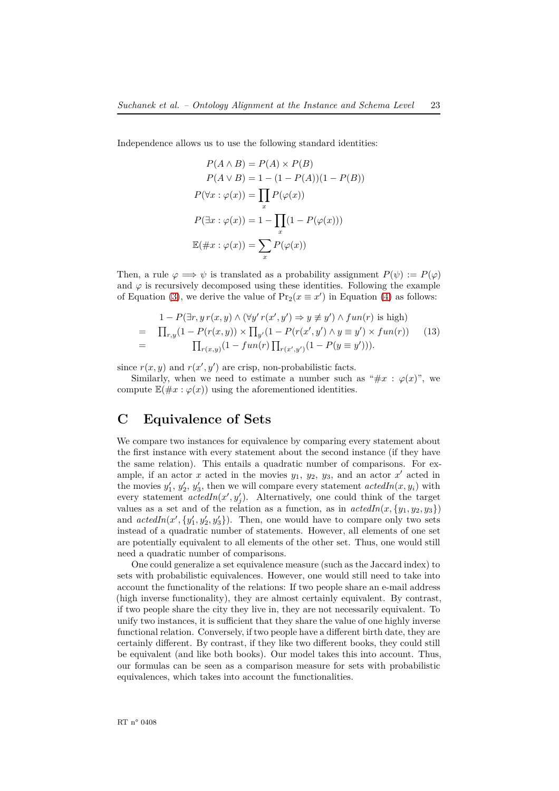Independence allows us to use the following standard identities:

$$
P(A \wedge B) = P(A) \times P(B)
$$
  
\n
$$
P(A \vee B) = 1 - (1 - P(A))(1 - P(B))
$$
  
\n
$$
P(\forall x : \varphi(x)) = \prod_{x} P(\varphi(x))
$$
  
\n
$$
P(\exists x : \varphi(x)) = 1 - \prod_{x} (1 - P(\varphi(x)))
$$
  
\n
$$
\mathbb{E}(\#x : \varphi(x)) = \sum_{x} P(\varphi(x))
$$

Then, a rule  $\varphi \implies \psi$  is translated as a probability assignment  $P(\psi) := P(\varphi)$ and  $\varphi$  is recursively decomposed using these identities. Following the example of Equation [\(3\)](#page-11-3), we derive the value of  $Pr_2(x \equiv x')$  in Equation [\(4\)](#page-11-4) as follows:

$$
1 - P(\exists r, y r(x, y) \land (\forall y' r(x', y') \Rightarrow y \not\equiv y') \land fun(r) \text{ is high})
$$
  
= 
$$
\prod_{r,y} (1 - P(r(x, y)) \times \prod_{y'} (1 - P(r(x', y') \land y \equiv y') \times fun(r))
$$
 (13)  
= 
$$
\prod_{r(x,y)} (1 - fun(r) \prod_{r(x',y')} (1 - P(y \equiv y'))).
$$

since  $r(x, y)$  and  $r(x', y')$  are crisp, non-probabilistic facts.

Similarly, when we need to estimate a number such as " $\#x : \varphi(x)$ ", we compute  $\mathbb{E}(\#x : \varphi(x))$  using the aforementioned identities.

### <span id="page-25-0"></span>**C Equivalence of Sets**

We compare two instances for equivalence by comparing every statement about the first instance with every statement about the second instance (if they have the same relation). This entails a quadratic number of comparisons. For example, if an actor *x* acted in the movies  $y_1$ ,  $y_2$ ,  $y_3$ , and an actor *x'* acted in the movies  $y'_1, y'_2, y'_3$ , then we will compare every statement *actedIn*(*x, y<sub>i</sub>*) with every statement  $\operatorname{actedIn}(x', y'_j)$ . Alternatively, one could think of the target values as a set and of the relation as a function, as in  $\operatorname{actedIn}(x, \{y_1, y_2, y_3\})$ and  $\text{actedIn}(x', \{y'_1, y'_2, y'_3\})$ . Then, one would have to compare only two sets instead of a quadratic number of statements. However, all elements of one set are potentially equivalent to all elements of the other set. Thus, one would still need a quadratic number of comparisons.

One could generalize a set equivalence measure (such as the Jaccard index) to sets with probabilistic equivalences. However, one would still need to take into account the functionality of the relations: If two people share an e-mail address (high inverse functionality), they are almost certainly equivalent. By contrast, if two people share the city they live in, they are not necessarily equivalent. To unify two instances, it is sufficient that they share the value of one highly inverse functional relation. Conversely, if two people have a different birth date, they are certainly different. By contrast, if they like two different books, they could still be equivalent (and like both books). Our model takes this into account. Thus, our formulas can be seen as a comparison measure for sets with probabilistic equivalences, which takes into account the functionalities.